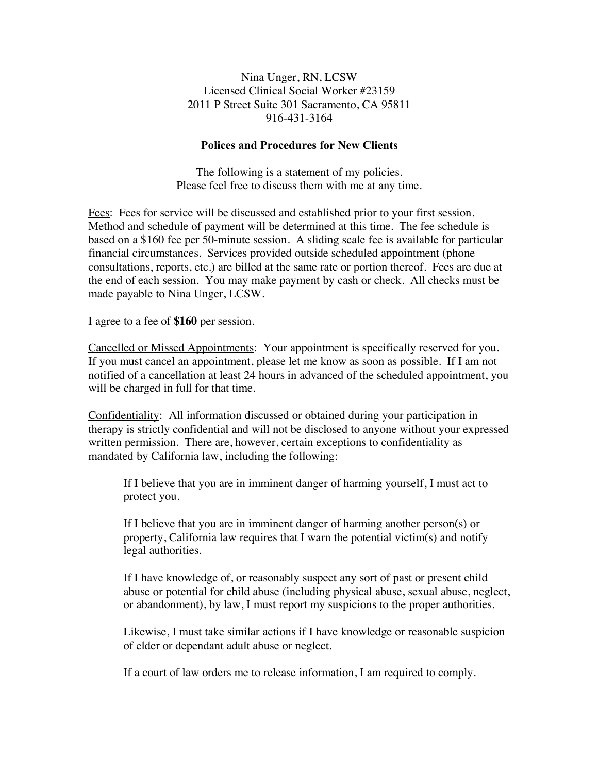Nina Unger, RN, LCSW Licensed Clinical Social Worker #23159 2011 P Street Suite 301 Sacramento, CA 95811 916-431-3164

## **Polices and Procedures for New Clients**

The following is a statement of my policies. Please feel free to discuss them with me at any time.

Fees: Fees for service will be discussed and established prior to your first session. Method and schedule of payment will be determined at this time. The fee schedule is based on a \$160 fee per 50-minute session. A sliding scale fee is available for particular financial circumstances. Services provided outside scheduled appointment (phone consultations, reports, etc.) are billed at the same rate or portion thereof. Fees are due at the end of each session. You may make payment by cash or check. All checks must be made payable to Nina Unger, LCSW.

I agree to a fee of **\$160** per session.

Cancelled or Missed Appointments: Your appointment is specifically reserved for you. If you must cancel an appointment, please let me know as soon as possible. If I am not notified of a cancellation at least 24 hours in advanced of the scheduled appointment, you will be charged in full for that time.

Confidentiality: All information discussed or obtained during your participation in therapy is strictly confidential and will not be disclosed to anyone without your expressed written permission. There are, however, certain exceptions to confidentiality as mandated by California law, including the following:

If I believe that you are in imminent danger of harming yourself, I must act to protect you.

If I believe that you are in imminent danger of harming another person(s) or property, California law requires that I warn the potential victim(s) and notify legal authorities.

If I have knowledge of, or reasonably suspect any sort of past or present child abuse or potential for child abuse (including physical abuse, sexual abuse, neglect, or abandonment), by law, I must report my suspicions to the proper authorities.

Likewise, I must take similar actions if I have knowledge or reasonable suspicion of elder or dependant adult abuse or neglect.

If a court of law orders me to release information, I am required to comply.